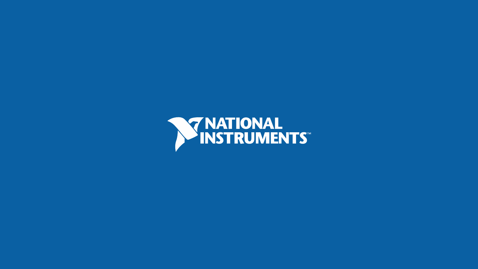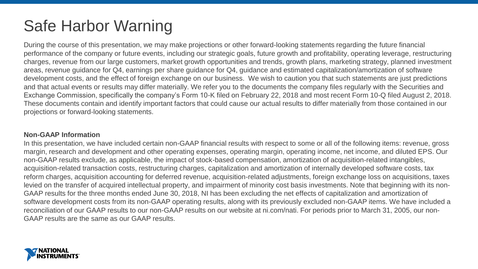# Safe Harbor Warning

During the course of this presentation, we may make projections or other forward-looking statements regarding the future financial performance of the company or future events, including our strategic goals, future growth and profitability, operating leverage, restructuring charges, revenue from our large customers, market growth opportunities and trends, growth plans, marketing strategy, planned investment areas, revenue guidance for Q4, earnings per share guidance for Q4, guidance and estimated capitalization/amortization of software development costs, and the effect of foreign exchange on our business. We wish to caution you that such statements are just predictions and that actual events or results may differ materially. We refer you to the documents the company files regularly with the Securities and Exchange Commission, specifically the company's Form 10-K filed on February 22, 2018 and most recent Form 10-Q filed August 2, 2018. These documents contain and identify important factors that could cause our actual results to differ materially from those contained in our projections or forward-looking statements.

#### **Non-GAAP Information**

In this presentation, we have included certain non-GAAP financial results with respect to some or all of the following items: revenue, gross margin, research and development and other operating expenses, operating margin, operating income, net income, and diluted EPS. Our non-GAAP results exclude, as applicable, the impact of stock-based compensation, amortization of acquisition-related intangibles, acquisition-related transaction costs, restructuring charges, capitalization and amortization of internally developed software costs, tax reform charges, acquisition accounting for deferred revenue, acquisition-related adjustments, foreign exchange loss on acquisitions, taxes levied on the transfer of acquired intellectual property, and impairment of minority cost basis investments. Note that beginning with its non-GAAP results for the three months ended June 30, 2018, NI has been excluding the net effects of capitalization and amortization of software development costs from its non-GAAP operating results, along with its previously excluded non-GAAP items. We have included a reconciliation of our GAAP results to our non-GAAP results on our website at ni.com/nati. For periods prior to March 31, 2005, our non-GAAP results are the same as our GAAP results.

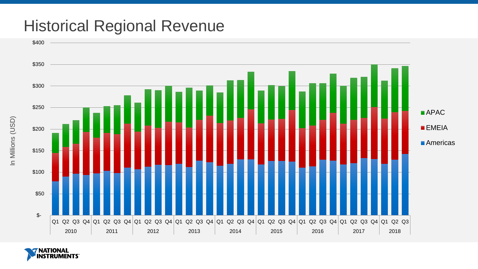## Historical Regional Revenue



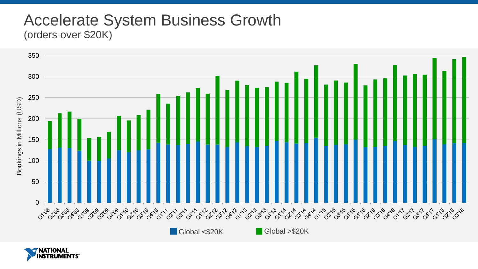#### Accelerate System Business Growth (orders over \$20K)



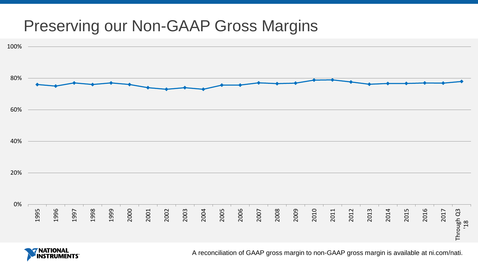## Preserving our Non-GAAP Gross Margins



**NATIONAL** 

A reconciliation of GAAP gross margin to non-GAAP gross margin is available at ni.com/nati.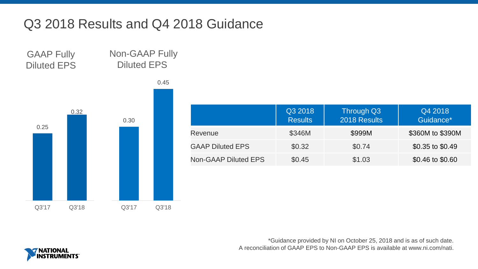### Q3 2018 Results and Q4 2018 Guidance

Non-GAAP Fully Diluted EPS GAAP Fully Diluted EPS



|                             | Q3 2018<br><b>Results</b> | Through Q3<br>2018 Results | Q4 2018<br>Guidance* |
|-----------------------------|---------------------------|----------------------------|----------------------|
| Revenue                     | \$346M                    | \$999M                     | \$360M to \$390M     |
| <b>GAAP Diluted EPS</b>     | \$0.32                    | \$0.74                     | \$0.35 to \$0.49     |
| <b>Non-GAAP Diluted EPS</b> | \$0.45                    | \$1.03                     | \$0.46 to \$0.60     |

\*Guidance provided by NI on October 25, 2018 and is as of such date. A reconciliation of GAAP EPS to Non-GAAP EPS is available at www.ni.com/nati.